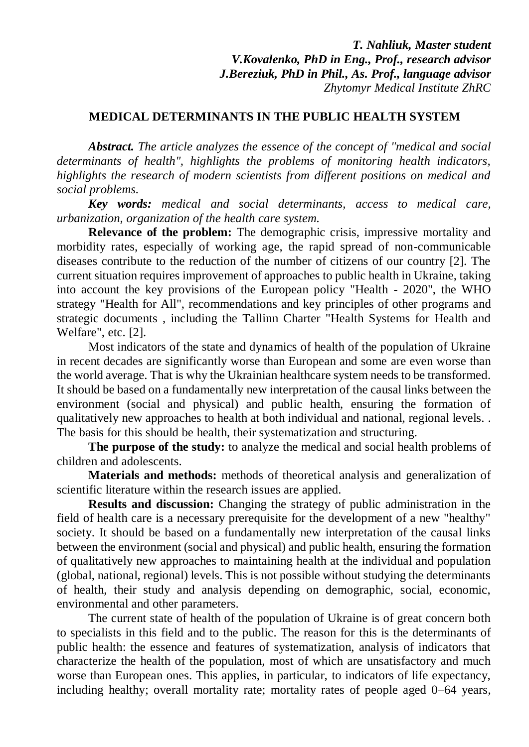*T. Nahliuk, Master student V.Kovalenko, PhD in Eng., Prof., research advisor J.Bereziuk, PhD in Phil., As. Prof., language advisor Zhytomyr Medical Institute ZhRC*

## **MEDICAL DETERMINANTS IN THE PUBLIC HEALTH SYSTEM**

*Abstract. The article analyzes the essence of the concept of "medical and social determinants of health", highlights the problems of monitoring health indicators, highlights the research of modern scientists from different positions on medical and social problems.*

*Key words: medical and social determinants, access to medical care, urbanization, organization of the health care system.*

**Relevance of the problem:** The demographic crisis, impressive mortality and morbidity rates, especially of working age, the rapid spread of non-communicable diseases contribute to the reduction of the number of citizens of our country [2]. The current situation requires improvement of approaches to public health in Ukraine, taking into account the key provisions of the European policy "Health - 2020", the WHO strategy "Health for All", recommendations and key principles of other programs and strategic documents , including the Tallinn Charter "Health Systems for Health and Welfare", etc. [2].

Most indicators of the state and dynamics of health of the population of Ukraine in recent decades are significantly worse than European and some are even worse than the world average. That is why the Ukrainian healthcare system needs to be transformed. It should be based on a fundamentally new interpretation of the causal links between the environment (social and physical) and public health, ensuring the formation of qualitatively new approaches to health at both individual and national, regional levels. . The basis for this should be health, their systematization and structuring.

**The purpose of the study:** to analyze the medical and social health problems of children and adolescents.

**Materials and methods:** methods of theoretical analysis and generalization of scientific literature within the research issues are applied.

**Results and discussion:** Changing the strategy of public administration in the field of health care is a necessary prerequisite for the development of a new "healthy" society. It should be based on a fundamentally new interpretation of the causal links between the environment (social and physical) and public health, ensuring the formation of qualitatively new approaches to maintaining health at the individual and population (global, national, regional) levels. This is not possible without studying the determinants of health, their study and analysis depending on demographic, social, economic, environmental and other parameters.

The current state of health of the population of Ukraine is of great concern both to specialists in this field and to the public. The reason for this is the determinants of public health: the essence and features of systematization, analysis of indicators that characterize the health of the population, most of which are unsatisfactory and much worse than European ones. This applies, in particular, to indicators of life expectancy, including healthy; overall mortality rate; mortality rates of people aged 0–64 years,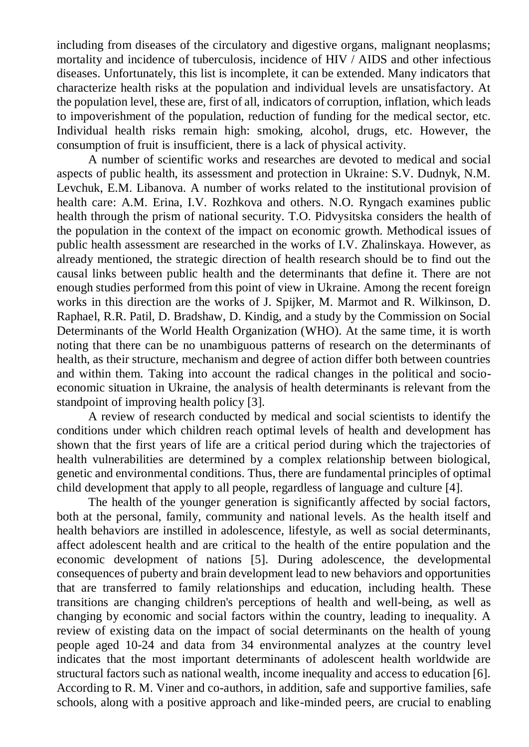including from diseases of the circulatory and digestive organs, malignant neoplasms; mortality and incidence of tuberculosis, incidence of HIV / AIDS and other infectious diseases. Unfortunately, this list is incomplete, it can be extended. Many indicators that characterize health risks at the population and individual levels are unsatisfactory. At the population level, these are, first of all, indicators of corruption, inflation, which leads to impoverishment of the population, reduction of funding for the medical sector, etc. Individual health risks remain high: smoking, alcohol, drugs, etc. However, the consumption of fruit is insufficient, there is a lack of physical activity.

A number of scientific works and researches are devoted to medical and social aspects of public health, its assessment and protection in Ukraine: S.V. Dudnyk, N.M. Levchuk, E.M. Libanova. A number of works related to the institutional provision of health care: A.M. Erina, I.V. Rozhkova and others. N.O. Ryngach examines public health through the prism of national security. T.O. Pidvysitska considers the health of the population in the context of the impact on economic growth. Methodical issues of public health assessment are researched in the works of I.V. Zhalinskaya. However, as already mentioned, the strategic direction of health research should be to find out the causal links between public health and the determinants that define it. There are not enough studies performed from this point of view in Ukraine. Among the recent foreign works in this direction are the works of J. Spijker, M. Marmot and R. Wilkinson, D. Raphael, R.R. Patil, D. Bradshaw, D. Kindig, and a study by the Commission on Social Determinants of the World Health Organization (WHO). At the same time, it is worth noting that there can be no unambiguous patterns of research on the determinants of health, as their structure, mechanism and degree of action differ both between countries and within them. Taking into account the radical changes in the political and socioeconomic situation in Ukraine, the analysis of health determinants is relevant from the standpoint of improving health policy [3].

A review of research conducted by medical and social scientists to identify the conditions under which children reach optimal levels of health and development has shown that the first years of life are a critical period during which the trajectories of health vulnerabilities are determined by a complex relationship between biological, genetic and environmental conditions. Thus, there are fundamental principles of optimal child development that apply to all people, regardless of language and culture [4].

The health of the younger generation is significantly affected by social factors, both at the personal, family, community and national levels. As the health itself and health behaviors are instilled in adolescence, lifestyle, as well as social determinants, affect adolescent health and are critical to the health of the entire population and the economic development of nations [5]. During adolescence, the developmental consequences of puberty and brain development lead to new behaviors and opportunities that are transferred to family relationships and education, including health. These transitions are changing children's perceptions of health and well-being, as well as changing by economic and social factors within the country, leading to inequality. A review of existing data on the impact of social determinants on the health of young people aged 10-24 and data from 34 environmental analyzes at the country level indicates that the most important determinants of adolescent health worldwide are structural factors such as national wealth, income inequality and access to education [6]. According to R. M. Viner and co-authors, in addition, safe and supportive families, safe schools, along with a positive approach and like-minded peers, are crucial to enabling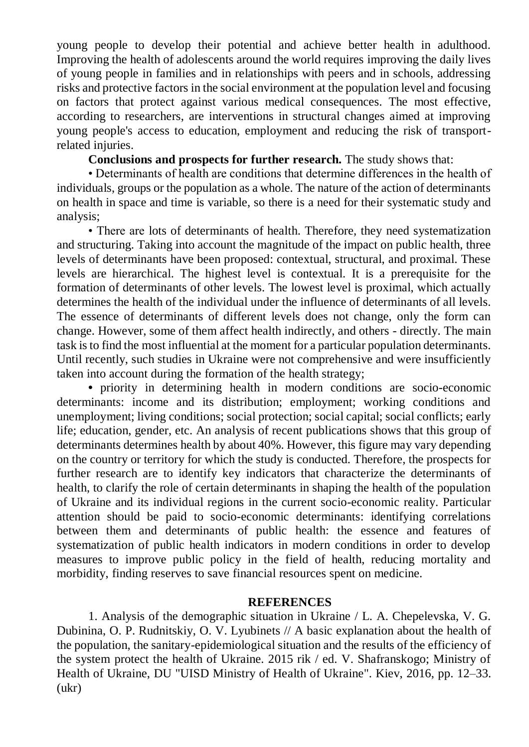young people to develop their potential and achieve better health in adulthood. Improving the health of adolescents around the world requires improving the daily lives of young people in families and in relationships with peers and in schools, addressing risks and protective factors in the social environment at the population level and focusing on factors that protect against various medical consequences. The most effective, according to researchers, are interventions in structural changes aimed at improving young people's access to education, employment and reducing the risk of transportrelated injuries.

**Conclusions and prospects for further research.** The study shows that:

• Determinants of health are conditions that determine differences in the health of individuals, groups or the population as a whole. The nature of the action of determinants on health in space and time is variable, so there is a need for their systematic study and analysis;

• There are lots of determinants of health. Therefore, they need systematization and structuring. Taking into account the magnitude of the impact on public health, three levels of determinants have been proposed: contextual, structural, and proximal. These levels are hierarchical. The highest level is contextual. It is a prerequisite for the formation of determinants of other levels. The lowest level is proximal, which actually determines the health of the individual under the influence of determinants of all levels. The essence of determinants of different levels does not change, only the form can change. However, some of them affect health indirectly, and others - directly. The main task is to find the most influential at the moment for a particular population determinants. Until recently, such studies in Ukraine were not comprehensive and were insufficiently taken into account during the formation of the health strategy;

• priority in determining health in modern conditions are socio-economic determinants: income and its distribution; employment; working conditions and unemployment; living conditions; social protection; social capital; social conflicts; early life; education, gender, etc. An analysis of recent publications shows that this group of determinants determines health by about 40%. However, this figure may vary depending on the country or territory for which the study is conducted. Therefore, the prospects for further research are to identify key indicators that characterize the determinants of health, to clarify the role of certain determinants in shaping the health of the population of Ukraine and its individual regions in the current socio-economic reality. Particular attention should be paid to socio-economic determinants: identifying correlations between them and determinants of public health: the essence and features of systematization of public health indicators in modern conditions in order to develop measures to improve public policy in the field of health, reducing mortality and morbidity, finding reserves to save financial resources spent on medicine.

## **REFERENCES**

1. Analysis of the demographic situation in Ukraine / L. A. Chepelevska, V. G. Dubinina, O. P. Rudnitskiy, O. V. Lyubinets // A basic explanation about the health of the population, the sanitary-epidemiological situation and the results of the efficiency of the system protect the health of Ukraine. 2015 rik / ed. V. Shafranskogo; Ministry of Health of Ukraine, DU "UISD Ministry of Health of Ukraine". Kiev, 2016, pp. 12–33. (ukr)